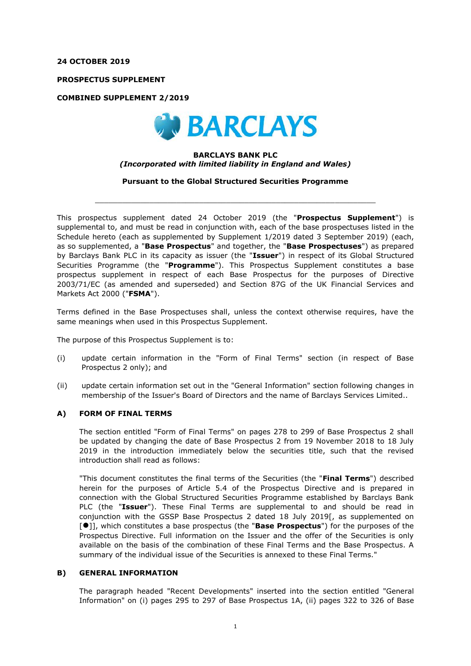**24 OCTOBER 2019**

**PROSPECTUS SUPPLEMENT**

**COMBINED SUPPLEMENT 2/2019**



#### **BARCLAYS BANK PLC** *(Incorporated with limited liability in England and Wales)*

**Pursuant to the Global Structured Securities Programme**

 $\_$  , and the set of the set of the set of the set of the set of the set of the set of the set of the set of the set of the set of the set of the set of the set of the set of the set of the set of the set of the set of th

This prospectus supplement dated 24 October 2019 (the "**Prospectus Supplement**") is supplemental to, and must be read in conjunction with, each of the base prospectuses listed in the Schedule hereto (each as supplemented by Supplement 1/2019 dated 3 September 2019) (each, as so supplemented, a "**Base Prospectus**" and together, the "**Base Prospectuses**") as prepared by Barclays Bank PLC in its capacity as issuer (the "**Issuer**") in respect of its Global Structured Securities Programme (the "**Programme**"). This Prospectus Supplement constitutes a base prospectus supplement in respect of each Base Prospectus for the purposes of Directive 2003/71/EC (as amended and superseded) and Section 87G of the UK Financial Services and Markets Act 2000 ("**FSMA**").

Terms defined in the Base Prospectuses shall, unless the context otherwise requires, have the same meanings when used in this Prospectus Supplement.

The purpose of this Prospectus Supplement is to:

- (i) update certain information in the "Form of Final Terms" section (in respect of Base Prospectus 2 only); and
- (ii) update certain information set out in the "General Information" section following changes in membership of the Issuer's Board of Directors and the name of Barclays Services Limited..

### **A) FORM OF FINAL TERMS**

The section entitled "Form of Final Terms" on pages 278 to 299 of Base Prospectus 2 shall be updated by changing the date of Base Prospectus 2 from 19 November 2018 to 18 July 2019 in the introduction immediately below the securities title, such that the revised introduction shall read as follows:

"This document constitutes the final terms of the Securities (the "**Final Terms**") described herein for the purposes of Article 5.4 of the Prospectus Directive and is prepared in connection with the Global Structured Securities Programme established by Barclays Bank PLC (the "**Issuer**"). These Final Terms are supplemental to and should be read in conjunction with the GSSP Base Prospectus 2 dated 18 July 2019[, as supplemented on [⚫]], which constitutes a base prospectus (the "**Base Prospectus**") for the purposes of the Prospectus Directive. Full information on the Issuer and the offer of the Securities is only available on the basis of the combination of these Final Terms and the Base Prospectus. A summary of the individual issue of the Securities is annexed to these Final Terms."

### **B) GENERAL INFORMATION**

The paragraph headed "Recent Developments" inserted into the section entitled "General Information" on (i) pages 295 to 297 of Base Prospectus 1A, (ii) pages 322 to 326 of Base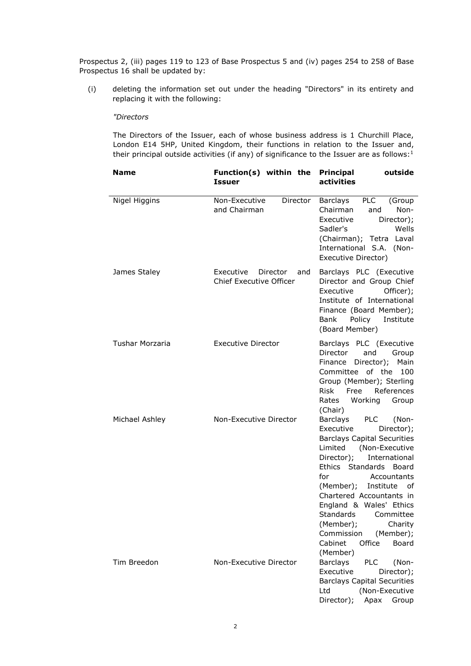Prospectus 2, (iii) pages 119 to 123 of Base Prospectus 5 and (iv) pages 254 to 258 of Base Prospectus 16 shall be updated by:

(i) deleting the information set out under the heading "Directors" in its entirety and replacing it with the following:

## *"Directors*

The Directors of the Issuer, each of whose business address is 1 Churchill Place, London E14 5HP, United Kingdom, their functions in relation to the Issuer and, their principal outside activities (if any) of significance to the Issuer are as follows: $1$ 

| <b>Name</b>     | Function(s) within the Principal<br><b>Issuer</b>              | outside<br>activities                                                                                                                                                                                                                                                                                                                                                                                                 |
|-----------------|----------------------------------------------------------------|-----------------------------------------------------------------------------------------------------------------------------------------------------------------------------------------------------------------------------------------------------------------------------------------------------------------------------------------------------------------------------------------------------------------------|
| Nigel Higgins   | Non-Executive<br>Director<br>and Chairman                      | Barclays<br>PLC<br>(Group<br>Non-<br>Chairman<br>and<br>Executive<br>Director);<br>Sadler's<br>Wells<br>(Chairman); Tetra Laval<br>International S.A. (Non-<br>Executive Director)                                                                                                                                                                                                                                    |
| James Staley    | Executive<br>Director<br>and<br><b>Chief Executive Officer</b> | Barclays PLC (Executive<br>Director and Group Chief<br>Executive<br>Officer);<br>Institute of International<br>Finance (Board Member);<br>Policy Institute<br>Bank<br>(Board Member)                                                                                                                                                                                                                                  |
| Tushar Morzaria | <b>Executive Director</b>                                      | Barclays PLC (Executive<br>Director<br>and<br>Group<br>Director);<br>Main<br>Finance<br>Committee of the<br>100<br>Group (Member); Sterling<br>Free<br>References<br><b>Risk</b><br>Rates Working<br>Group<br>(Chair)                                                                                                                                                                                                 |
| Michael Ashley  | Non-Executive Director                                         | Barclays<br><b>PLC</b><br>(Non-<br>Executive<br>Director);<br><b>Barclays Capital Securities</b><br>Limited (Non-Executive<br>Director);<br>International<br>Ethics Standards Board<br>for<br>Accountants<br>(Member); Institute of<br>Chartered Accountants in<br>England & Wales' Ethics<br><b>Standards</b><br>Committee<br>(Member); Charity<br>(Member);<br>Commission<br>Office<br>Cabinet<br>Board<br>(Member) |
| Tim Breedon     | Non-Executive Director                                         | <b>Barclays</b><br><b>PLC</b><br>(Non-<br>Executive<br>Director);<br><b>Barclays Capital Securities</b><br>(Non-Executive<br>Ltd<br>Director);<br>Apax<br>Group                                                                                                                                                                                                                                                       |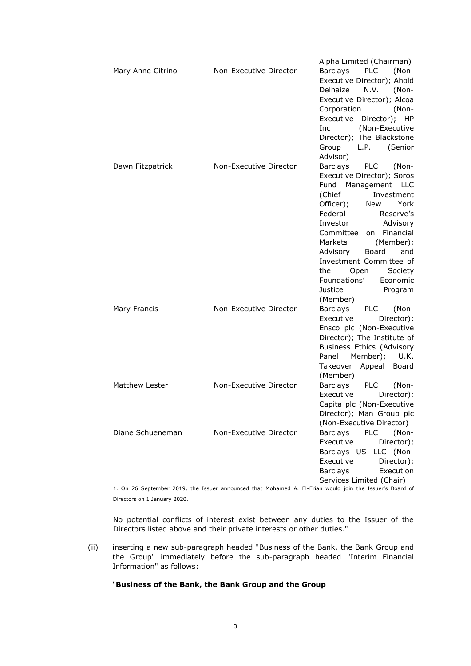|                   |                        | Alpha Limited (Chairman)               |
|-------------------|------------------------|----------------------------------------|
| Mary Anne Citrino | Non-Executive Director | <b>PLC</b><br>Barclays<br>(Non-        |
|                   |                        | Executive Director); Ahold             |
|                   |                        | Delhaize<br>N.V. (Non-                 |
|                   |                        | Executive Director); Alcoa             |
|                   |                        | Corporation<br>(Non-                   |
|                   |                        | Executive Director); HP                |
|                   |                        | (Non-Executive<br>Inc.                 |
|                   |                        | Director); The Blackstone              |
|                   |                        | Group L.P. (Senior                     |
|                   |                        | Advisor)                               |
|                   |                        |                                        |
| Dawn Fitzpatrick  | Non-Executive Director | Barclays<br><b>PLC</b><br>(Non-        |
|                   |                        | Executive Director); Soros             |
|                   |                        | Fund Management LLC                    |
|                   |                        | (Chief<br>Investment                   |
|                   |                        | Officer);<br>New York                  |
|                   |                        | Federal<br>Reserve's                   |
|                   |                        | Investor<br>Advisory                   |
|                   |                        | on Financial<br>Committee              |
|                   |                        | Markets<br>(Member);                   |
|                   |                        | Advisory<br>Board<br>and               |
|                   |                        | Investment Committee of                |
|                   |                        | the<br>Open<br>Society                 |
|                   |                        | Foundations'<br>Economic               |
|                   |                        | Justice<br>Program                     |
|                   |                        | (Member)                               |
| Mary Francis      | Non-Executive Director | Barclays<br><b>PLC</b><br>(Non-        |
|                   |                        | Executive<br>Director);                |
|                   |                        | Ensco plc (Non-Executive               |
|                   |                        | Director); The Institute of            |
|                   |                        | Business Ethics (Advisory              |
|                   |                        | Member); U.K.<br>Panel                 |
|                   |                        | Takeover Appeal Board                  |
|                   |                        | (Member)                               |
| Matthew Lester    | Non-Executive Director | Barclays<br><b>PLC</b><br>(Non-        |
|                   |                        | Executive<br>Director);                |
|                   |                        | Capita plc (Non-Executive              |
|                   |                        | Director); Man Group plc               |
|                   |                        |                                        |
|                   |                        | (Non-Executive Director)               |
| Diane Schueneman  | Non-Executive Director | <b>PLC</b><br><b>Barclays</b><br>(Non- |
|                   |                        | Executive<br>Director);                |
|                   |                        | LLC (Non-<br>Barclays US               |
|                   |                        | Executive<br>Director);                |
|                   |                        | <b>Barclays</b><br>Execution           |
|                   |                        | Services Limited (Chair)               |

1. On 26 September 2019, the Issuer announced that Mohamed A. El-Erian would join the Issuer's Board of Directors on 1 January 2020.

No potential conflicts of interest exist between any duties to the Issuer of the Directors listed above and their private interests or other duties."

(ii) inserting a new sub-paragraph headed "Business of the Bank, the Bank Group and the Group" immediately before the sub-paragraph headed "Interim Financial Information" as follows:

## "**Business of the Bank, the Bank Group and the Group**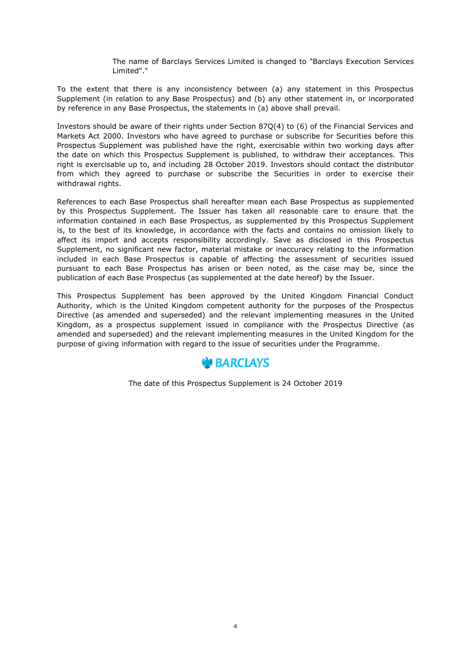The name of Barclays Services Limited is changed to "Barclays Execution Services Limited"."

To the extent that there is any inconsistency between (a) any statement in this Prospectus Supplement (in relation to any Base Prospectus) and (b) any other statement in, or incorporated by reference in any Base Prospectus, the statements in (a) above shall prevail.

Investors should be aware of their rights under Section 87Q(4) to (6) of the Financial Services and Markets Act 2000. Investors who have agreed to purchase or subscribe for Securities before this Prospectus Supplement was published have the right, exercisable within two working days after the date on which this Prospectus Supplement is published, to withdraw their acceptances. This right is exercisable up to, and including 28 October 2019. Investors should contact the distributor from which they agreed to purchase or subscribe the Securities in order to exercise their withdrawal rights.

References to each Base Prospectus shall hereafter mean each Base Prospectus as supplemented by this Prospectus Supplement. The Issuer has taken all reasonable care to ensure that the information contained in each Base Prospectus, as supplemented by this Prospectus Supplement is, to the best of its knowledge, in accordance with the facts and contains no omission likely to affect its import and accepts responsibility accordingly. Save as disclosed in this Prospectus Supplement, no significant new factor, material mistake or inaccuracy relating to the information included in each Base Prospectus is capable of affecting the assessment of securities issued pursuant to each Base Prospectus has arisen or been noted, as the case may be, since the publication of each Base Prospectus (as supplemented at the date hereof) by the Issuer.

This Prospectus Supplement has been approved by the United Kingdom Financial Conduct Authority, which is the United Kingdom competent authority for the purposes of the Prospectus Directive (as amended and superseded) and the relevant implementing measures in the United Kingdom, as a prospectus supplement issued in compliance with the Prospectus Directive (as amended and superseded) and the relevant implementing measures in the United Kingdom for the purpose of giving information with regard to the issue of securities under the Programme.



The date of this Prospectus Supplement is 24 October 2019